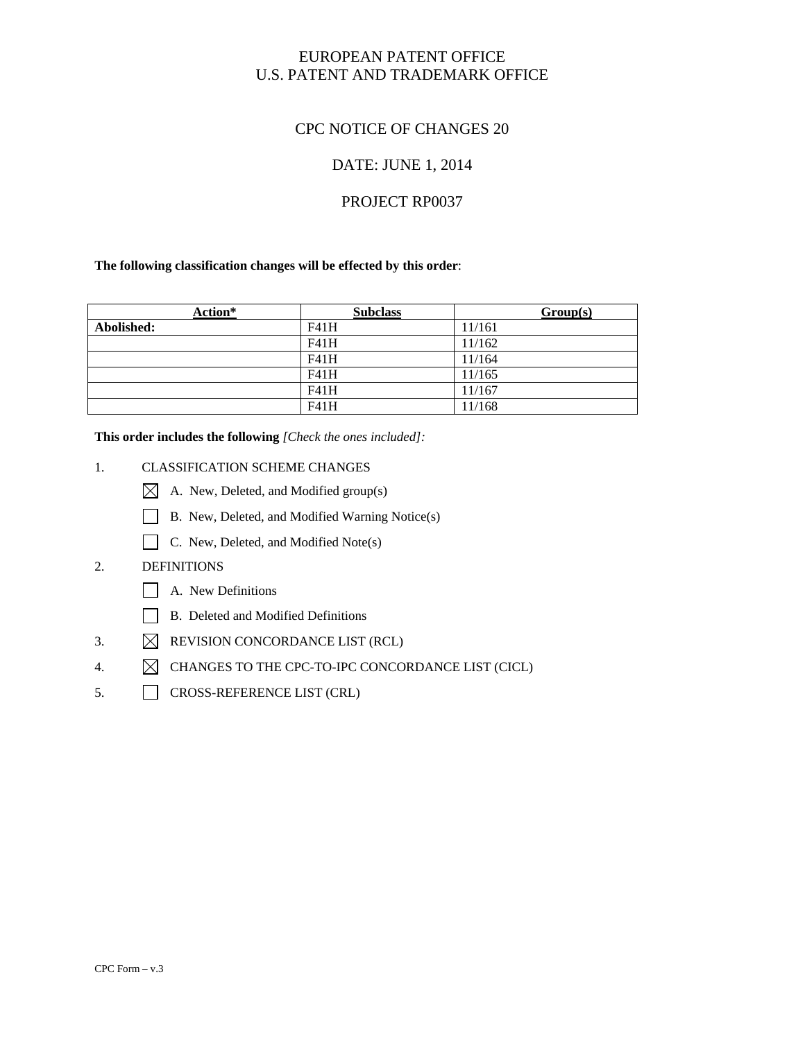### EUROPEAN PATENT OFFICE U.S. PATENT AND TRADEMARK OFFICE

### CPC NOTICE OF CHANGES 20

### DATE: JUNE 1, 2014

### PROJECT RP0037

#### **The following classification changes will be effected by this order**:

| Action*    | <b>Subclass</b> | Group(s) |
|------------|-----------------|----------|
| Abolished: | F41H            | 11/161   |
|            | F41H            | 11/162   |
|            | F41H            | 11/164   |
|            | F41H            | 11/165   |
|            | F41H            | 11/167   |
|            | F41H            | 11/168   |

**This order includes the following** *[Check the ones included]:* 

#### 1. CLASSIFICATION SCHEME CHANGES

- A. New, Deleted, and Modified group(s)
- B. New, Deleted, and Modified Warning Notice(s)
- C. New, Deleted, and Modified Note(s)

#### 2. DEFINITIONS

- A. New Definitions
- B. Deleted and Modified Definitions
- 3.  $\boxtimes$  REVISION CONCORDANCE LIST (RCL)
- 4.  $\boxtimes$  CHANGES TO THE CPC-TO-IPC CONCORDANCE LIST (CICL)
- 5. CROSS-REFERENCE LIST (CRL)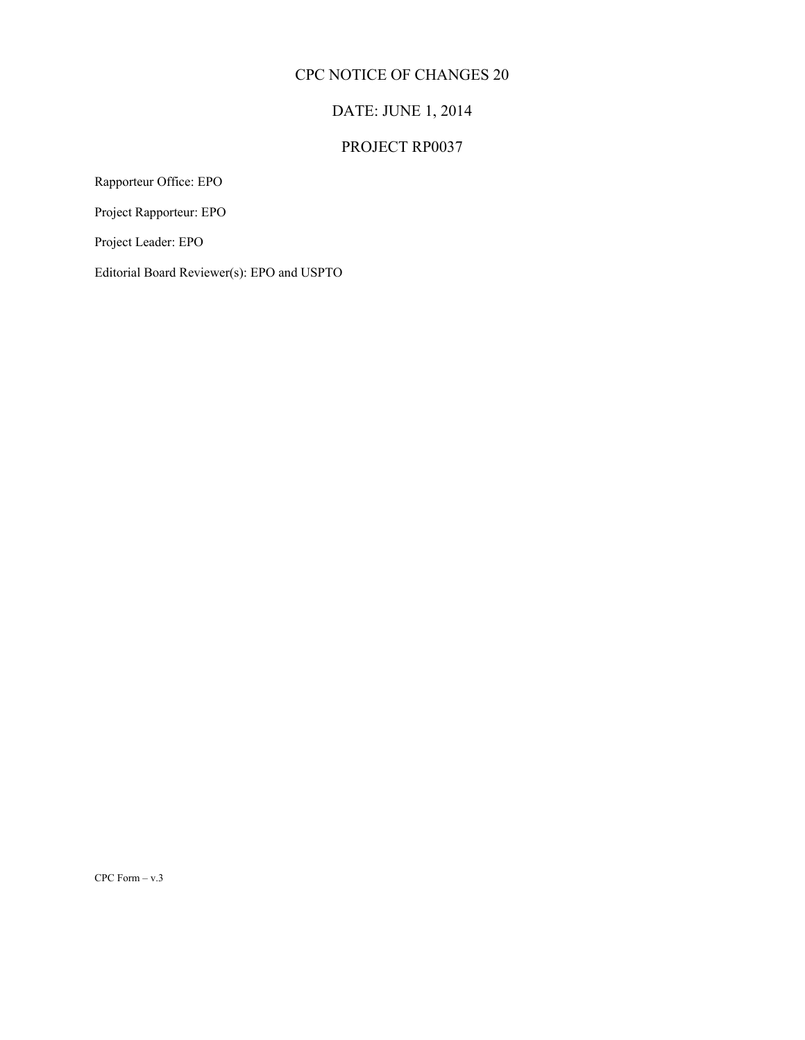# DATE: JUNE 1, 2014

# PROJECT RP0037

Rapporteur Office: EPO

Project Rapporteur: EPO

Project Leader: EPO

Editorial Board Reviewer(s): EPO and USPTO

CPC Form – v.3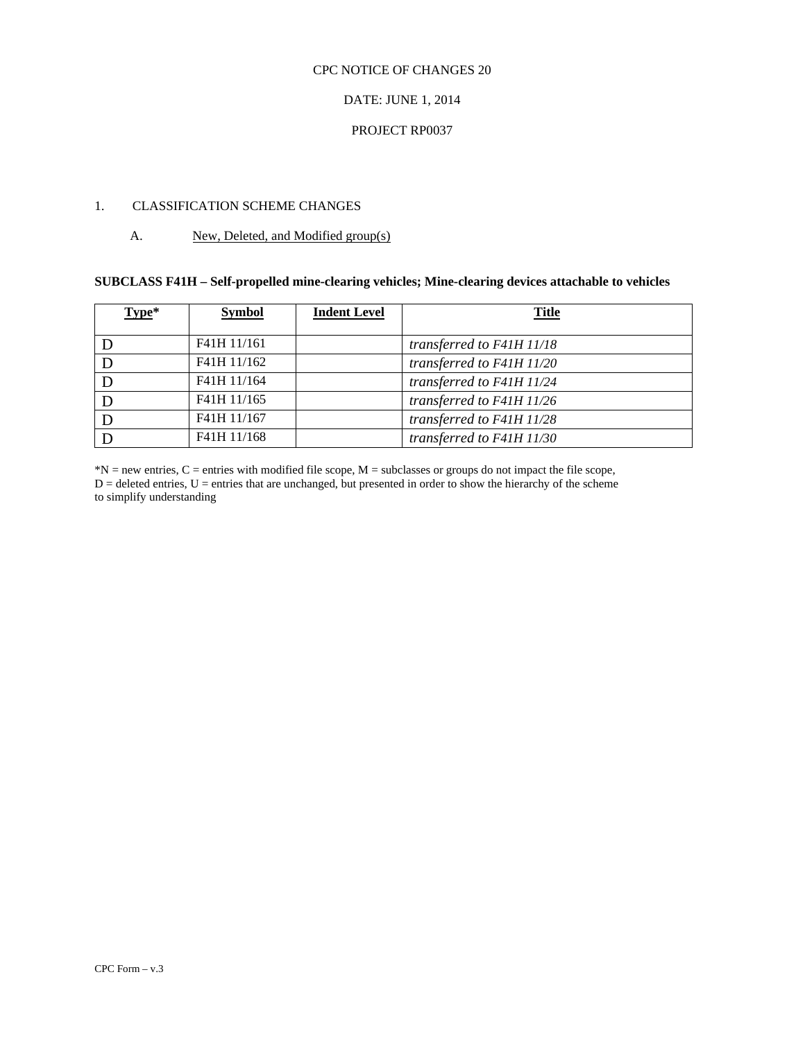#### DATE: JUNE 1, 2014

#### PROJECT RP0037

#### 1. CLASSIFICATION SCHEME CHANGES

#### A. New, Deleted, and Modified group(s)

#### **SUBCLASS F41H – Self-propelled mine-clearing vehicles; Mine-clearing devices attachable to vehicles**

| Type* | <b>Symbol</b> | <b>Indent Level</b> | <b>Title</b>              |
|-------|---------------|---------------------|---------------------------|
|       |               |                     |                           |
|       | F41H 11/161   |                     | transferred to F41H 11/18 |
|       | F41H 11/162   |                     | transferred to F41H 11/20 |
|       | F41H 11/164   |                     | transferred to F41H 11/24 |
|       | F41H 11/165   |                     | transferred to F41H 11/26 |
|       | F41H 11/167   |                     | transferred to F41H 11/28 |
|       | F41H 11/168   |                     | transferred to F41H 11/30 |

 $D =$  deleted entries,  $U =$  entries that are unchanged, but presented in order to show the hierarchy of the scheme to simplify understanding  $*N$  = new entries, C = entries with modified file scope, M = subclasses or groups do not impact the file scope,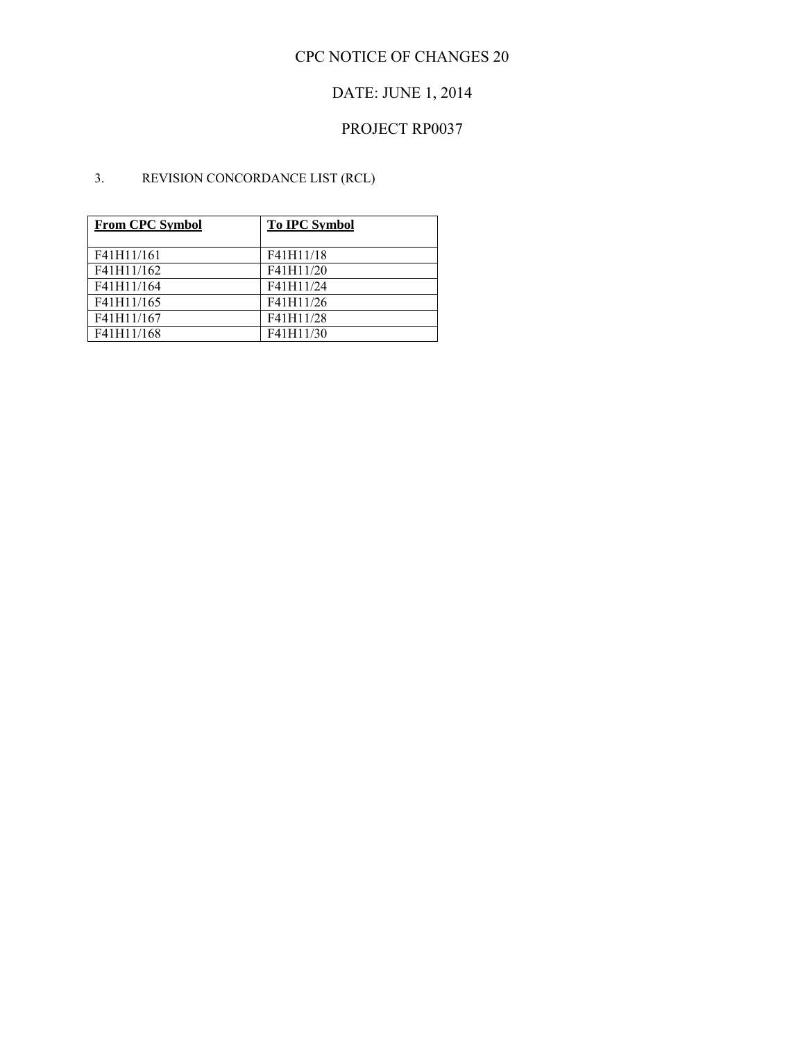# DATE: JUNE 1, 2014

# PROJECT RP0037

### 3. REVISION CONCORDANCE LIST (RCL)

| <b>From CPC Symbol</b> | <b>To IPC Symbol</b> |
|------------------------|----------------------|
| F41H11/161             | F41H11/18            |
| F41H11/162             | F41H11/20            |
| F41H11/164             | F41H11/24            |
| F41H11/165             | F41H11/26            |
| F41H11/167             | F41H11/28            |
| F41H11/168             | F41H11/30            |